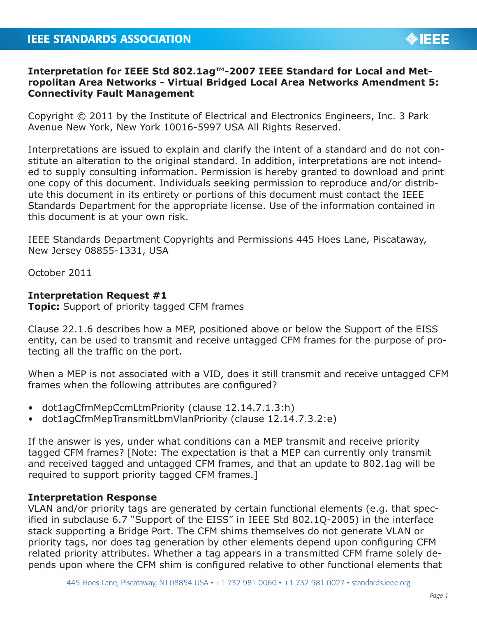# **Interpretation for IEEE Std 802.1ag™-2007 IEEE Standard for Local and Metropolitan Area Networks - Virtual Bridged Local Area Networks Amendment 5: Connectivity Fault Management**

Copyright © 2011 by the Institute of Electrical and Electronics Engineers, Inc. 3 Park Avenue New York, New York 10016-5997 USA All Rights Reserved.

Interpretations are issued to explain and clarify the intent of a standard and do not constitute an alteration to the original standard. In addition, interpretations are not intended to supply consulting information. Permission is hereby granted to download and print one copy of this document. Individuals seeking permission to reproduce and/or distribute this document in its entirety or portions of this document must contact the IEEE Standards Department for the appropriate license. Use of the information contained in this document is at your own risk.

IEEE Standards Department Copyrights and Permissions 445 Hoes Lane, Piscataway, New Jersey 08855-1331, USA

October 2011

## **Interpretation Request #1**

**Topic:** Support of priority tagged CFM frames

Clause 22.1.6 describes how a MEP, positioned above or below the Support of the EISS entity, can be used to transmit and receive untagged CFM frames for the purpose of protecting all the traffic on the port.

When a MEP is not associated with a VID, does it still transmit and receive untagged CFM frames when the following attributes are configured?

- dot1agCfmMepCcmLtmPriority (clause 12.14.7.1.3:h)
- dot1agCfmMepTransmitLbmVlanPriority (clause 12.14.7.3.2:e)

If the answer is yes, under what conditions can a MEP transmit and receive priority tagged CFM frames? [Note: The expectation is that a MEP can currently only transmit and received tagged and untagged CFM frames, and that an update to 802.1ag will be required to support priority tagged CFM frames.]

## **Interpretation Response**

VLAN and/or priority tags are generated by certain functional elements (e.g. that specified in subclause 6.7 "Support of the EISS" in IEEE Std 802.1Q-2005) in the interface stack supporting a Bridge Port. The CFM shims themselves do not generate VLAN or priority tags, nor does tag generation by other elements depend upon configuring CFM related priority attributes. Whether a tag appears in a transmitted CFM frame solely depends upon where the CFM shim is configured relative to other functional elements that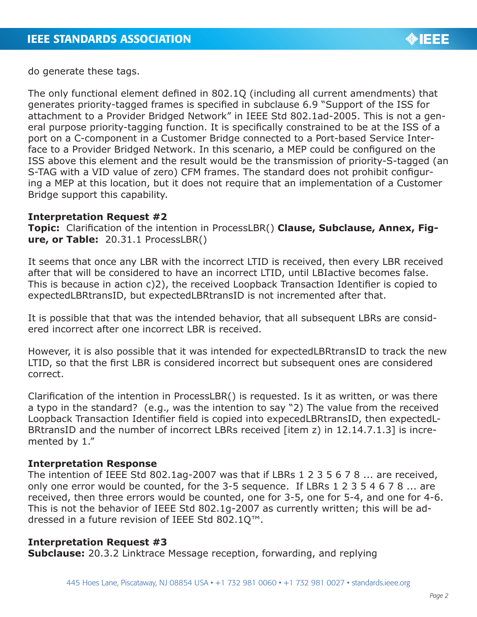

do generate these tags.

The only functional element defined in 802.1Q (including all current amendments) that generates priority-tagged frames is specified in subclause 6.9 "Support of the ISS for attachment to a Provider Bridged Network" in IEEE Std 802.1ad-2005. This is not a general purpose priority-tagging function. It is specifically constrained to be at the ISS of a port on a C-component in a Customer Bridge connected to a Port-based Service Interface to a Provider Bridged Network. In this scenario, a MEP could be configured on the ISS above this element and the result would be the transmission of priority-S-tagged (an S-TAG with a VID value of zero) CFM frames. The standard does not prohibit configuring a MEP at this location, but it does not require that an implementation of a Customer Bridge support this capability.

#### **Interpretation Request #2**

**Topic:** Clarification of the intention in ProcessLBR() **Clause, Subclause, Annex, Figure, or Table:** 20.31.1 ProcessLBR()

It seems that once any LBR with the incorrect LTID is received, then every LBR received after that will be considered to have an incorrect LTID, until LBIactive becomes false. This is because in action c)2), the received Loopback Transaction Identifier is copied to expectedLBRtransID, but expectedLBRtransID is not incremented after that.

It is possible that that was the intended behavior, that all subsequent LBRs are considered incorrect after one incorrect LBR is received.

However, it is also possible that it was intended for expectedLBRtransID to track the new LTID, so that the first LBR is considered incorrect but subsequent ones are considered correct.

Clarification of the intention in ProcessLBR() is requested. Is it as written, or was there a typo in the standard? (e.g., was the intention to say "2) The value from the received Loopback Transaction Identifier field is copied into expecedLBRtransID, then expectedL-BRtransID and the number of incorrect LBRs received [item z) in 12.14.7.1.3] is incremented by 1."

## **Interpretation Response**

The intention of IEEE Std 802.1ag-2007 was that if LBRs 1 2 3 5 6 7 8 ... are received, only one error would be counted, for the 3-5 sequence. If LBRs 1 2 3 5 4 6 7 8 ... are received, then three errors would be counted, one for 3-5, one for 5-4, and one for 4-6. This is not the behavior of IEEE Std 802.1g-2007 as currently written; this will be addressed in a future revision of IEEE Std 802.1Q™.

## **Interpretation Request #3**

**Subclause:** 20.3.2 Linktrace Message reception, forwarding, and replying